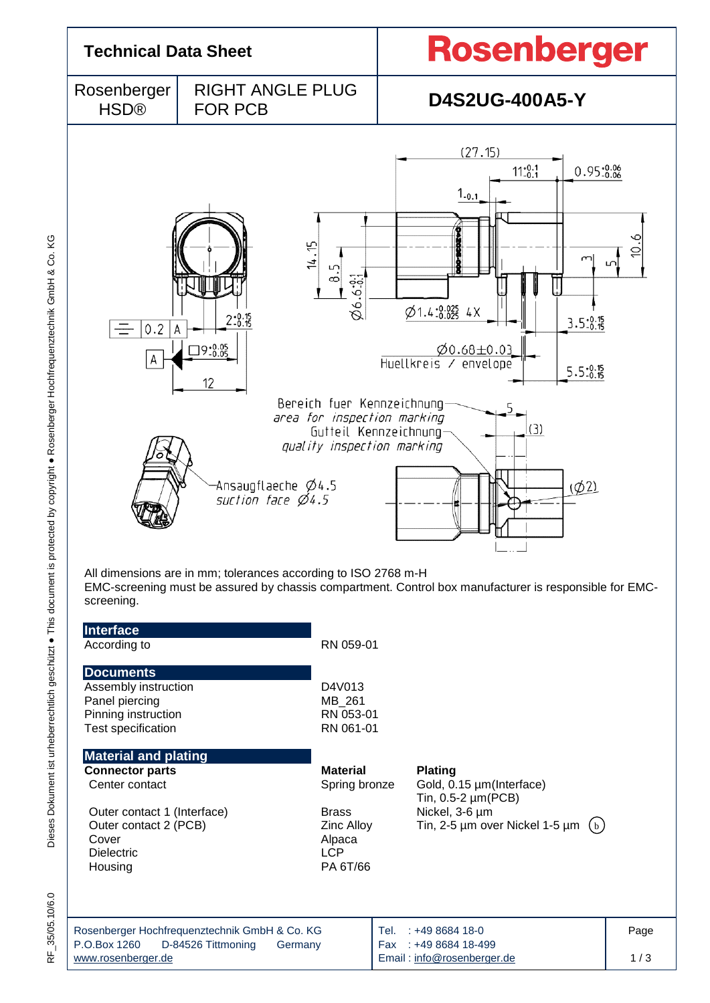

ΚG

RF\_35/05.10/6.0

P.O.Box 1260 D-84526 Tittmoning Germany [www.rosenberger.de](http://www.rosenberger.de/) Fax : +49 8684 18-499 Email : [info@rosenberger.de](mailto:info@rosenberger.de) 1 / 3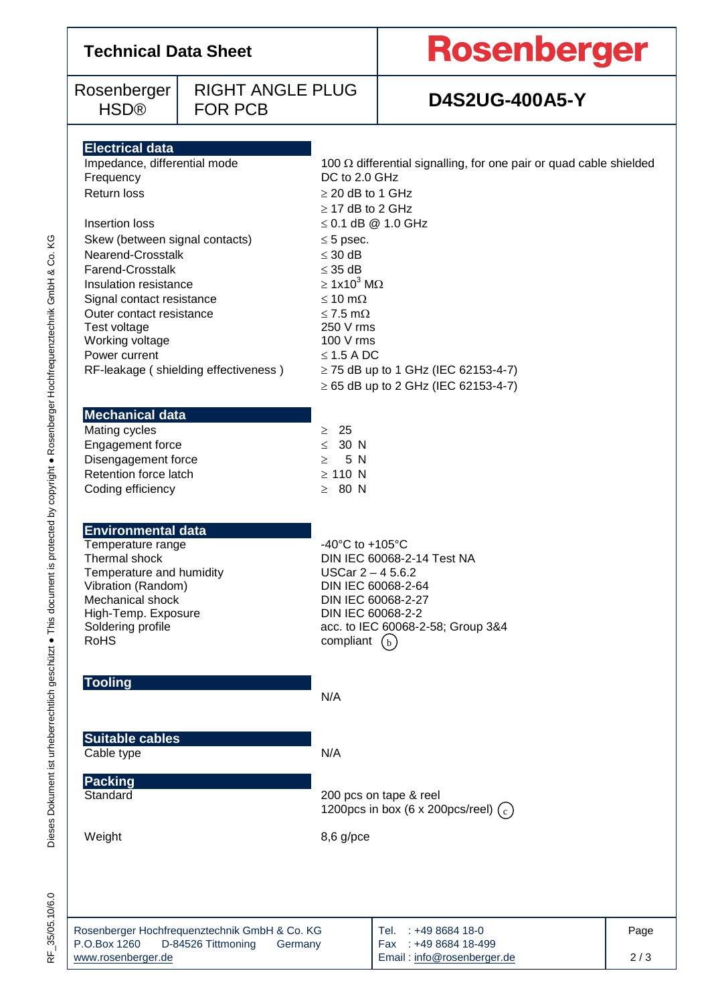## **Technical Data Sheet**

Rosenberger HSD®

### RIGHT ANGLE PLUG FOR PCB **D4S2UG-400A5-Y**

# Rosenberger

| <b>Electrical data</b>                                                                         |                                                                           |      |  |  |  |
|------------------------------------------------------------------------------------------------|---------------------------------------------------------------------------|------|--|--|--|
| Impedance, differential mode                                                                   | 100 $\Omega$ differential signalling, for one pair or quad cable shielded |      |  |  |  |
| Frequency                                                                                      | DC to 2.0 GHz                                                             |      |  |  |  |
| Return loss                                                                                    | $\geq$ 20 dB to 1 GHz                                                     |      |  |  |  |
|                                                                                                | $\geq$ 17 dB to 2 GHz                                                     |      |  |  |  |
| Insertion loss                                                                                 | $\leq$ 0.1 dB @ 1.0 GHz                                                   |      |  |  |  |
| Skew (between signal contacts)                                                                 | $\leq$ 5 psec.                                                            |      |  |  |  |
| Nearend-Crosstalk                                                                              | $\leq 30$ dB                                                              |      |  |  |  |
| <b>Farend-Crosstalk</b><br>Insulation resistance                                               | $\leq$ 35 dB<br>$\geq 1x10^3$ M $\Omega$                                  |      |  |  |  |
| Signal contact resistance                                                                      | $\leq 10$ m $\Omega$                                                      |      |  |  |  |
| Outer contact resistance                                                                       | $\leq$ 7.5 m $\Omega$                                                     |      |  |  |  |
| Test voltage                                                                                   | 250 V rms                                                                 |      |  |  |  |
| Working voltage                                                                                | 100 V rms                                                                 |      |  |  |  |
| Power current                                                                                  | $\leq$ 1.5 A DC                                                           |      |  |  |  |
| RF-leakage (shielding effectiveness)                                                           | $\ge$ 75 dB up to 1 GHz (IEC 62153-4-7)                                   |      |  |  |  |
|                                                                                                | $\geq$ 65 dB up to 2 GHz (IEC 62153-4-7)                                  |      |  |  |  |
|                                                                                                |                                                                           |      |  |  |  |
| <b>Mechanical data</b><br>Mating cycles                                                        | $\geq 25$                                                                 |      |  |  |  |
| Engagement force                                                                               | $\leq$ 30 N                                                               |      |  |  |  |
| Disengagement force                                                                            | 5 N<br>$\geq$                                                             |      |  |  |  |
| Retention force latch                                                                          | $\geq$ 110 N                                                              |      |  |  |  |
| Coding efficiency                                                                              | $\geq 80$ N                                                               |      |  |  |  |
|                                                                                                |                                                                           |      |  |  |  |
|                                                                                                |                                                                           |      |  |  |  |
| <b>Environmental data</b>                                                                      | -40 $^{\circ}$ C to +105 $^{\circ}$ C                                     |      |  |  |  |
| Temperature range<br>Thermal shock                                                             | DIN IEC 60068-2-14 Test NA                                                |      |  |  |  |
| Temperature and humidity                                                                       | USCar $2 - 45.6.2$                                                        |      |  |  |  |
| Vibration (Random)                                                                             | DIN IEC 60068-2-64                                                        |      |  |  |  |
| Mechanical shock                                                                               | DIN IEC 60068-2-27                                                        |      |  |  |  |
| High-Temp. Exposure                                                                            | DIN IEC 60068-2-2                                                         |      |  |  |  |
| Soldering profile<br><b>RoHS</b>                                                               | acc. to IEC 60068-2-58; Group 3&4                                         |      |  |  |  |
|                                                                                                | compliant<br>(b)                                                          |      |  |  |  |
|                                                                                                |                                                                           |      |  |  |  |
| <b>Tooling</b>                                                                                 |                                                                           |      |  |  |  |
|                                                                                                | N/A                                                                       |      |  |  |  |
|                                                                                                |                                                                           |      |  |  |  |
| <b>Suitable cables</b>                                                                         |                                                                           |      |  |  |  |
| Cable type                                                                                     | N/A                                                                       |      |  |  |  |
|                                                                                                |                                                                           |      |  |  |  |
| Packing                                                                                        |                                                                           |      |  |  |  |
| Standard                                                                                       | 200 pcs on tape & reel<br>1200pcs in box (6 x 200pcs/reel) $(c)$          |      |  |  |  |
|                                                                                                |                                                                           |      |  |  |  |
| Weight                                                                                         | $8,6$ g/pce                                                               |      |  |  |  |
|                                                                                                |                                                                           |      |  |  |  |
|                                                                                                |                                                                           |      |  |  |  |
|                                                                                                |                                                                           |      |  |  |  |
|                                                                                                |                                                                           |      |  |  |  |
|                                                                                                | Tel.                                                                      |      |  |  |  |
| Rosenberger Hochfrequenztechnik GmbH & Co. KG<br>P.O.Box 1260<br>D-84526 Tittmoning<br>Germany | : +49 8684 18-0<br>Fax: +49 8684 18-499                                   | Page |  |  |  |
| www.rosenberger.de                                                                             | Email: info@rosenberger.de                                                | 2/3  |  |  |  |